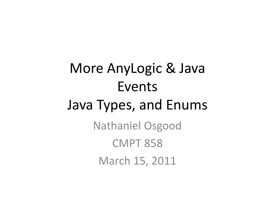### More AnyLogic & Java Events Java Types, and Enums Nathaniel Osgood CMPT 858 March 15, 2011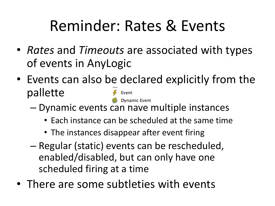### Reminder: Rates & Events

- *Rates* and *Timeouts* are associated with types of events in AnyLogic
- Events can also be declared explicitly from the pallette **Dynamic Event** 
	- Dynamic events can have multiple instances
		- Each instance can be scheduled at the same time
		- The instances disappear after event firing
	- Regular (static) events can be rescheduled, enabled/disabled, but can only have one scheduled firing at a time
- There are some subtleties with events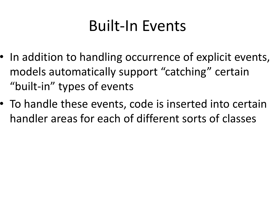#### Built-In Events

- In addition to handling occurrence of explicit events, models automatically support "catching" certain "built-in" types of events
- To handle these events, code is inserted into certain handler areas for each of different sorts of classes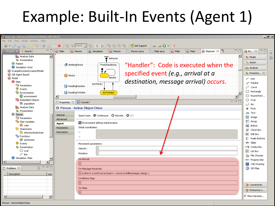### Example: Built-In Events (Agent 1)



Person - ActiveObjectClass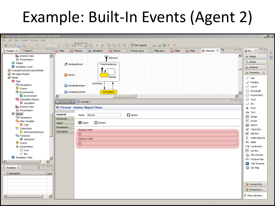### Example: Built-In Events (Agent 2)

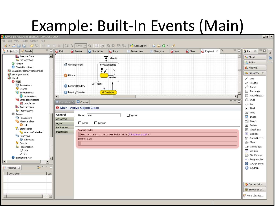#### Example: Built-In Events (Main)

| AnyLogic Advanced [EDUCATIONAL USE ONLY]                                                                                                                                                                                                                                                                                                                                                                                                                                                |                                               |                                         |            |                   |               |                                                          |               |        |                                                               |  |                               |                                    | <u>니리지</u>     |
|-----------------------------------------------------------------------------------------------------------------------------------------------------------------------------------------------------------------------------------------------------------------------------------------------------------------------------------------------------------------------------------------------------------------------------------------------------------------------------------------|-----------------------------------------------|-----------------------------------------|------------|-------------------|---------------|----------------------------------------------------------|---------------|--------|---------------------------------------------------------------|--|-------------------------------|------------------------------------|----------------|
| File Edit View Model Window Help                                                                                                                                                                                                                                                                                                                                                                                                                                                        |                                               |                                         |            |                   |               |                                                          |               |        |                                                               |  |                               |                                    |                |
| $\mathcal{S}\otimes\mathcal{S}$ of the red $\mathcal{S}$ of $\mathcal{S}\subseteq\mathcal{S}$ and $\mathcal{S}\subseteq\mathcal{S}$ and $\mathcal{S}\subseteq\mathcal{S}$ . Then $\mathcal{S}\subseteq\mathcal{S}$ and $\mathcal{S}\subseteq\mathcal{S}$ and $\mathcal{S}\subseteq\mathcal{S}$ and $\mathcal{S}\subseteq\mathcal{S}$ and $\mathcal{S}\subseteq\mathcal{S}$ and $\mathcal{S}\subseteq\mathcal{S}\subseteq\mathcal$<br>$\circledast \cdot \circledcirc$ in $\circledcirc$ |                                               |                                         |            |                   |               | $\frac{1}{\ln n}$ $\frac{1}{\ln n}$ $\frac{1}{\sqrt{2}}$ |               |        |                                                               |  |                               |                                    |                |
| Project & <b>P</b> Search                                                                                                                                                                                                                                                                                                                                                                                                                                                               | $=$ $\Box$ Main                               | <b>O</b> Person                         | Simulation | <b>a</b> Person   | 图 Person.java | 图 Male.java                                              | <b>a</b> Male | a Main | $\bullet$ Elephant $\[\mathbb{X}\]$ <sup>2</sup> <sub>5</sub> |  | $=$ $E$                       | $\blacksquare$<br>国 Pa 83          | $\bar{\sigma}$ |
| $\overline{\phantom{0}}$<br><b>IL</b> Analysis Data                                                                                                                                                                                                                                                                                                                                                                                                                                     |                                               |                                         |            | <b>+</b> behavior |               |                                                          |               |        |                                                               |  | $\blacktriangle$              | <b>Be</b> Model                    | O              |
| <b>BA</b> Presentation<br><b>B</b> Patient                                                                                                                                                                                                                                                                                                                                                                                                                                              |                                               |                                         |            |                   |               |                                                          |               |        |                                                               |  |                               | <sup>2</sup> Action                |                |
| Simulation: Root                                                                                                                                                                                                                                                                                                                                                                                                                                                                        | drinkingPeriod<br>FreeWandering               |                                         |            |                   |               |                                                          |               |        |                                                               |  |                               | <b>Big</b> Analysis                |                |
| ExampleSystemDynamicsModel                                                                                                                                                                                                                                                                                                                                                                                                                                                              |                                               |                                         |            |                   |               |                                                          |               |        |                                                               |  |                               |                                    |                |
| SIR Agent Based                                                                                                                                                                                                                                                                                                                                                                                                                                                                         |                                               | <b>W</b> thirsty                        |            |                   |               |                                                          |               |        |                                                               |  |                               | <b>RA</b> Presenta 88              |                |
| <b>S</b> Model                                                                                                                                                                                                                                                                                                                                                                                                                                                                          |                                               |                                         |            | NewDir            |               |                                                          |               |        |                                                               |  |                               | $\angle$ Line                      |                |
| <b>O</b> Main                                                                                                                                                                                                                                                                                                                                                                                                                                                                           |                                               |                                         | GotThirsty |                   |               |                                                          |               |        |                                                               |  |                               | J <sup>V</sup> Polyline            |                |
| <b><i>C</i></b> Parameters                                                                                                                                                                                                                                                                                                                                                                                                                                                              |                                               | headingRandom                           |            |                   |               |                                                          |               |        |                                                               |  |                               | Curve <sup>(م</sup>                |                |
| <b>IZ</b> Events                                                                                                                                                                                                                                                                                                                                                                                                                                                                        |                                               |                                         |            |                   |               |                                                          |               |        |                                                               |  |                               | Rectangle                          |                |
| <b>C</b> Environments<br><b>C</b> environment                                                                                                                                                                                                                                                                                                                                                                                                                                           | headingToWater<br>GoToWater<br>$\blacksquare$ |                                         |            |                   |               |                                                          |               |        |                                                               |  | Round Rect                    |                                    |                |
| <b>Co</b> Embedded Objects                                                                                                                                                                                                                                                                                                                                                                                                                                                              |                                               |                                         |            |                   |               |                                                          |               |        |                                                               |  |                               | $\bigcirc$ oval                    |                |
| <b>O</b> population                                                                                                                                                                                                                                                                                                                                                                                                                                                                     |                                               | <b>III</b> Properties $X \Big $ Console |            |                   |               |                                                          |               |        |                                                               |  | $\overline{v} = \overline{h}$ | $\bigcup$ Arc                      |                |
| <b>IL</b> Analysis Data                                                                                                                                                                                                                                                                                                                                                                                                                                                                 |                                               | <b>O</b> Main - Active Object Class     |            |                   |               |                                                          |               |        |                                                               |  |                               | <b>E</b> Pixel                     |                |
| <b>RA</b> Presentation                                                                                                                                                                                                                                                                                                                                                                                                                                                                  |                                               |                                         |            |                   |               |                                                          |               |        |                                                               |  |                               | Aa Text                            |                |
| <b>O</b> Person                                                                                                                                                                                                                                                                                                                                                                                                                                                                         | General                                       | Name: Main                              |            |                   | $\Box$ Ignore |                                                          |               |        |                                                               |  |                               | <b>D</b> Image                     |                |
| Parameters                                                                                                                                                                                                                                                                                                                                                                                                                                                                              | <b>Advanced</b>                               |                                         |            |                   |               |                                                          |               |        |                                                               |  |                               | <sup>中</sup> Group                 |                |
| <sup>O</sup> D Plain Variables<br>$\bullet$ color                                                                                                                                                                                                                                                                                                                                                                                                                                       | $\Box$ Generic<br>$\Box$ Agent<br>Agent       |                                         |            |                   |               |                                                          |               |        |                                                               |  |                               |                                    |                |
| <sup>2</sup> Statecharts                                                                                                                                                                                                                                                                                                                                                                                                                                                                | Parameters                                    |                                         |            |                   |               |                                                          |               |        |                                                               |  |                               | OK Button                          |                |
| <b>B</b> infectionStatechart                                                                                                                                                                                                                                                                                                                                                                                                                                                            | Startup Code:<br><b>Description</b>           |                                         |            |                   |               |                                                          |               |        |                                                               |  | $\nabla$ Check Box            |                                    |                |
| <sup>C</sup> <sub>D</sub> Functions                                                                                                                                                                                                                                                                                                                                                                                                                                                     | environment.deliverToRandom("Infection");     |                                         |            |                   |               |                                                          |               |        |                                                               |  | ab Edit Box                   |                                    |                |
| isInfected                                                                                                                                                                                                                                                                                                                                                                                                                                                                              |                                               | Destroy Code:                           |            |                   |               |                                                          |               |        |                                                               |  |                               | 8 <sup>™</sup> Radio Buttons       |                |
| <b>I</b> Events                                                                                                                                                                                                                                                                                                                                                                                                                                                                         |                                               |                                         |            |                   |               |                                                          |               |        |                                                               |  | <b>ID</b> Slider              |                                    |                |
| <b>RA</b> Presentation                                                                                                                                                                                                                                                                                                                                                                                                                                                                  |                                               |                                         |            |                   |               |                                                          |               |        |                                                               |  |                               | $\Box$ Combo Box                   |                |
| $\bigcirc$ oval                                                                                                                                                                                                                                                                                                                                                                                                                                                                         |                                               |                                         |            |                   |               |                                                          |               |        |                                                               |  |                               | $\frac{1}{2}$ List Box             |                |
| $\angle$ line<br>Simulation: Main                                                                                                                                                                                                                                                                                                                                                                                                                                                       |                                               |                                         |            |                   |               |                                                          |               |        |                                                               |  |                               | File Chooser                       |                |
| ⊣∣                                                                                                                                                                                                                                                                                                                                                                                                                                                                                      |                                               |                                         |            |                   |               |                                                          |               |        |                                                               |  |                               | Progress Bar                       |                |
|                                                                                                                                                                                                                                                                                                                                                                                                                                                                                         |                                               |                                         |            |                   |               |                                                          |               |        |                                                               |  |                               | [編 CAD Drawing                     |                |
| $\frac{1}{\sqrt{2}}$ $\sim$ $\frac{1}{\sqrt{2}}$<br>Problems 23                                                                                                                                                                                                                                                                                                                                                                                                                         |                                               |                                         |            |                   |               |                                                          |               |        |                                                               |  |                               | <b>S</b> GIS Map                   |                |
| Description<br>Loca                                                                                                                                                                                                                                                                                                                                                                                                                                                                     |                                               |                                         |            |                   |               |                                                          |               |        |                                                               |  |                               |                                    |                |
|                                                                                                                                                                                                                                                                                                                                                                                                                                                                                         |                                               |                                         |            |                   |               |                                                          |               |        |                                                               |  |                               |                                    |                |
|                                                                                                                                                                                                                                                                                                                                                                                                                                                                                         |                                               |                                         |            |                   |               |                                                          |               |        |                                                               |  |                               |                                    |                |
|                                                                                                                                                                                                                                                                                                                                                                                                                                                                                         |                                               |                                         |            |                   |               |                                                          |               |        |                                                               |  |                               | <b>Q</b> <sup>n</sup> Connectivity |                |
|                                                                                                                                                                                                                                                                                                                                                                                                                                                                                         |                                               |                                         |            |                   |               |                                                          |               |        |                                                               |  |                               | <sup>1</sup> Enterprise Li         |                |
|                                                                                                                                                                                                                                                                                                                                                                                                                                                                                         |                                               |                                         |            |                   |               |                                                          |               |        |                                                               |  |                               |                                    |                |
| $\left  \cdot \right $<br>$\blacktriangleright$                                                                                                                                                                                                                                                                                                                                                                                                                                         |                                               |                                         |            |                   |               |                                                          |               |        |                                                               |  |                               | More Libraries                     |                |
|                                                                                                                                                                                                                                                                                                                                                                                                                                                                                         |                                               |                                         |            |                   |               |                                                          |               |        |                                                               |  |                               |                                    |                |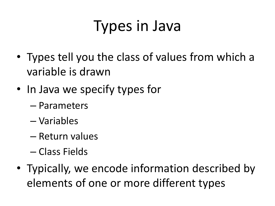### Types in Java

- Types tell you the class of values from which a variable is drawn
- In Java we specify types for
	- Parameters
	- Variables
	- Return values
	- Class Fields
- Typically, we encode information described by elements of one or more different types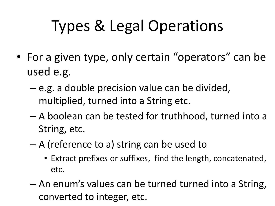## Types & Legal Operations

- For a given type, only certain "operators" can be used e.g.
	- e.g. a double precision value can be divided, multiplied, turned into a String etc.
	- A boolean can be tested for truthhood, turned into a String, etc.
	- A (reference to a) string can be used to
		- Extract prefixes or suffixes, find the length, concatenated, etc.
	- An enum's values can be turned turned into a String, converted to integer, etc.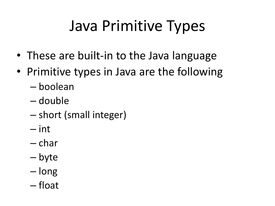## Java Primitive Types

- These are built-in to the Java language
- Primitive types in Java are the following
	- boolean
	- double
	- short (small integer)
	- int
	- char
	- byte
	- long
	- float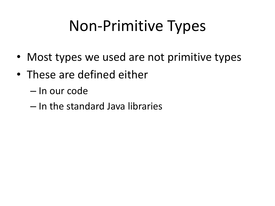### Non-Primitive Types

- Most types we used are not primitive types
- These are defined either
	- In our code
	- In the standard Java libraries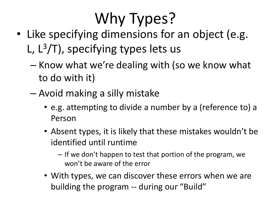# Why Types?

- Like specifying dimensions for an object (e.g. L, L<sup>3</sup>/T), specifying types lets us
	- Know what we're dealing with (so we know what to do with it)
	- Avoid making a silly mistake
		- e.g. attempting to divide a number by a (reference to) a Person
		- Absent types, it is likely that these mistakes wouldn't be identified until runtime
			- If we don't happen to test that portion of the program, we won't be aware of the error
		- With types, we can discover these errors when we are building the program -- during our "Build"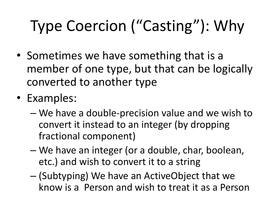# Type Coercion ("Casting"): Why

- Sometimes we have something that is a member of one type, but that can be logically converted to another type
- Examples:
	- We have a double-precision value and we wish to convert it instead to an integer (by dropping fractional component)
	- We have an integer (or a double, char, boolean, etc.) and wish to convert it to a string
	- (Subtyping) We have an ActiveObject that we know is a Person and wish to treat it as a Person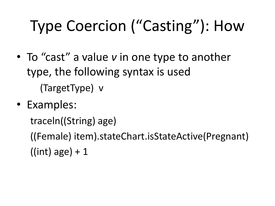## Type Coercion ("Casting"): How

- To "cast" a value *v* in one type to another type, the following syntax is used (TargetType) v
- Examples:

traceln((String) age)

((Female) item).stateChart.isStateActive(Pregnant)  $((int) age) + 1$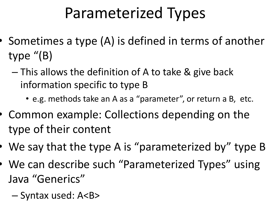### Parameterized Types

- Sometimes a type (A) is defined in terms of another type "(B)
	- This allows the definition of A to take & give back information specific to type B
		- e.g. methods take an A as a "parameter", or return a B, etc.
- Common example: Collections depending on the type of their content
- We say that the type A is "parameterized by" type B
- We can describe such "Parameterized Types" using Java "Generics"
	- Syntax used: A<B>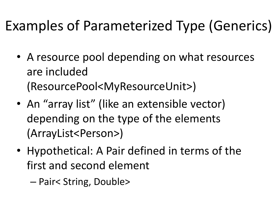#### Examples of Parameterized Type (Generics)

- A resource pool depending on what resources are included (ResourcePool<MyResourceUnit>)
- An "array list" (like an extensible vector) depending on the type of the elements (ArrayList<Person>)
- Hypothetical: A Pair defined in terms of the first and second element

– Pair< String, Double>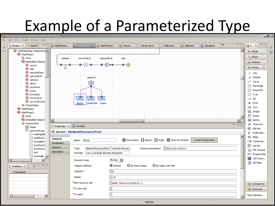# Example of a Parameterized Type

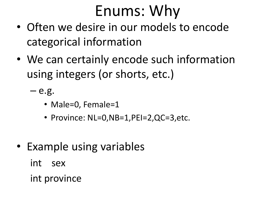### Enums: Why

- Often we desire in our models to encode categorical information
- We can certainly encode such information using integers (or shorts, etc.)

 $-$  e.g.

- Male=0, Female=1
- Province: NL=0,NB=1,PEI=2,QC=3,etc.
- Example using variables int sex int province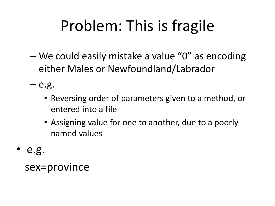## Problem: This is fragile

– We could easily mistake a value "0" as encoding either Males or Newfoundland/Labrador

 $-$  e.g.

- Reversing order of parameters given to a method, or entered into a file
- Assigning value for one to another, due to a poorly named values
- e.g.

sex=province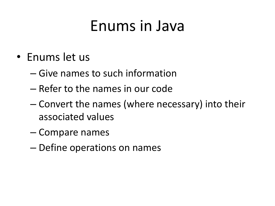#### Enums in Java

- Enums let us
	- Give names to such information
	- Refer to the names in our code
	- Convert the names (where necessary) into their associated values
	- Compare names
	- Define operations on names